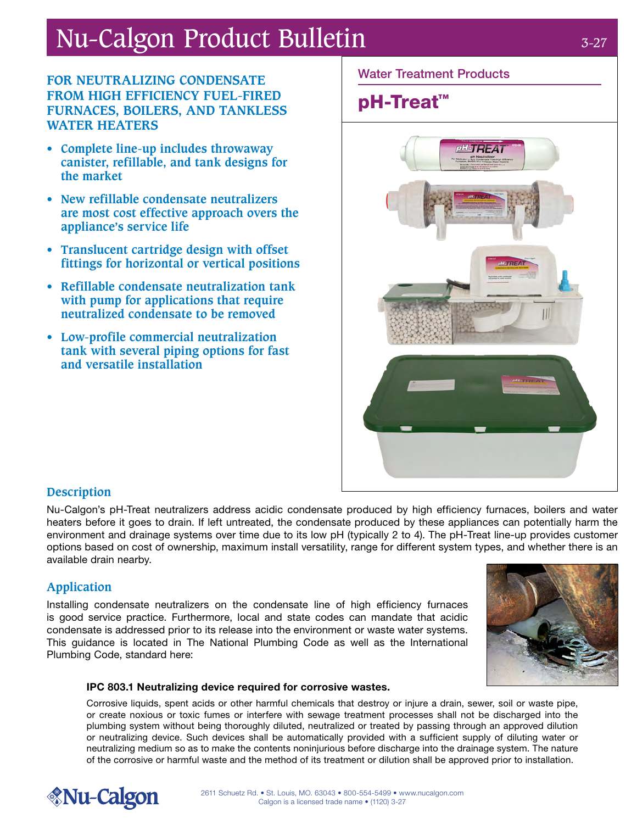# Nu-Calgon Product Bulletin

#### **FOR NEUTRALIZING CONDENSATE FROM HIGH EFFICIENCY FUEL-FIRED FURNACES, BOILERS, AND TANKLESS WATER HEATERS**

- **• Complete line-up includes throwaway canister, refillable, and tank designs for the market**
- **• New refillable condensate neutralizers are most cost effective approach overs the appliance's service life**
- **• Translucent cartridge design with offset fittings for horizontal or vertical positions**
- **• Refillable condensate neutralization tank with pump for applications that require neutralized condensate to be removed**
- **• Low-profile commercial neutralization tank with several piping options for fast and versatile installation**

#### Water Treatment Products

## pH-Treat<sup>™</sup>



#### **Description**

Nu-Calgon's pH-Treat neutralizers address acidic condensate produced by high efficiency furnaces, boilers and water heaters before it goes to drain. If left untreated, the condensate produced by these appliances can potentially harm the environment and drainage systems over time due to its low pH (typically 2 to 4). The pH-Treat line-up provides customer options based on cost of ownership, maximum install versatility, range for different system types, and whether there is an available drain nearby.

### **Application**

Installing condensate neutralizers on the condensate line of high efficiency furnaces is good service practice. Furthermore, local and state codes can mandate that acidic condensate is addressed prior to its release into the environment or waste water systems. This guidance is located in The National Plumbing Code as well as the International Plumbing Code, standard here:



#### IPC 803.1 Neutralizing device required for corrosive wastes.

Corrosive liquids, spent acids or other harmful chemicals that destroy or injure a drain, sewer, soil or waste pipe, or create noxious or toxic fumes or interfere with sewage treatment processes shall not be discharged into the plumbing system without being thoroughly diluted, neutralized or treated by passing through an approved dilution or neutralizing device. Such devices shall be automatically provided with a sufficient supply of diluting water or neutralizing medium so as to make the contents noninjurious before discharge into the drainage system. The nature of the corrosive or harmful waste and the method of its treatment or dilution shall be approved prior to installation.

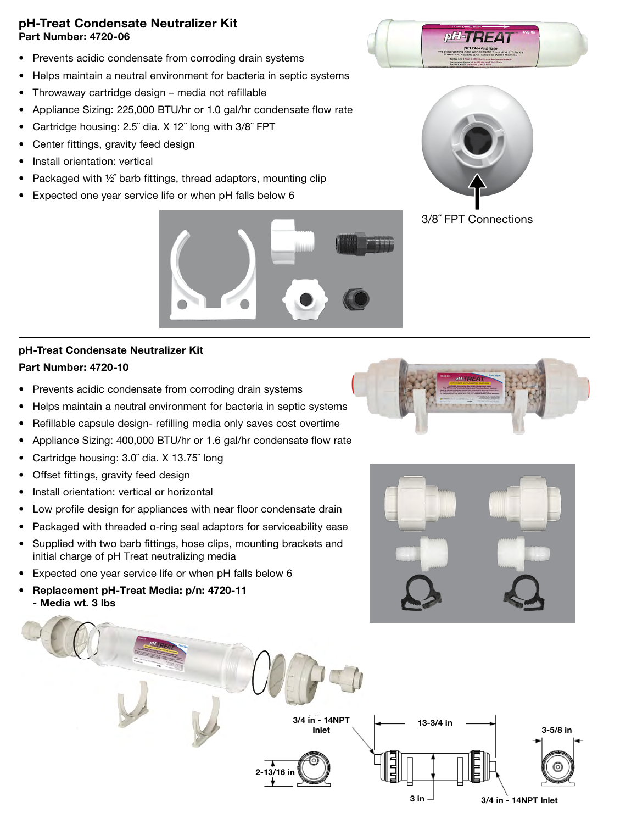#### pH-Treat Condensate Neutralizer Kit Part Number: 4720-06

- Prevents acidic condensate from corroding drain systems
- Helps maintain a neutral environment for bacteria in septic systems
- Throwaway cartridge design media not refillable
- Appliance Sizing: 225,000 BTU/hr or 1.0 gal/hr condensate flow rate
- Cartridge housing: 2.5˝ dia. X 12˝ long with 3/8˝ FPT
- Center fittings, gravity feed design
- Install orientation: vertical
- Packaged with ½˝ barb fittings, thread adaptors, mounting clip
- Expected one year service life or when pH falls below 6



#### pH-Treat Condensate Neutralizer Kit Part Number: 4720-10

- Prevents acidic condensate from corroding drain systems
- Helps maintain a neutral environment for bacteria in septic systems
- Refillable capsule design- refilling media only saves cost overtime
- Appliance Sizing: 400,000 BTU/hr or 1.6 gal/hr condensate flow rate
- Cartridge housing: 3.0˝ dia. X 13.75˝ long
- Offset fittings, gravity feed design
- Install orientation: vertical or horizontal
- Low profile design for appliances with near floor condensate drain
- Packaged with threaded o-ring seal adaptors for serviceability ease
- Supplied with two barb fittings, hose clips, mounting brackets and initial charge of pH Treat neutralizing media
- Expected one year service life or when pH falls below 6
- Replacement pH-Treat Media: p/n: 4720-11 - Media wt. 3 lbs











3/8˝ FPT Connections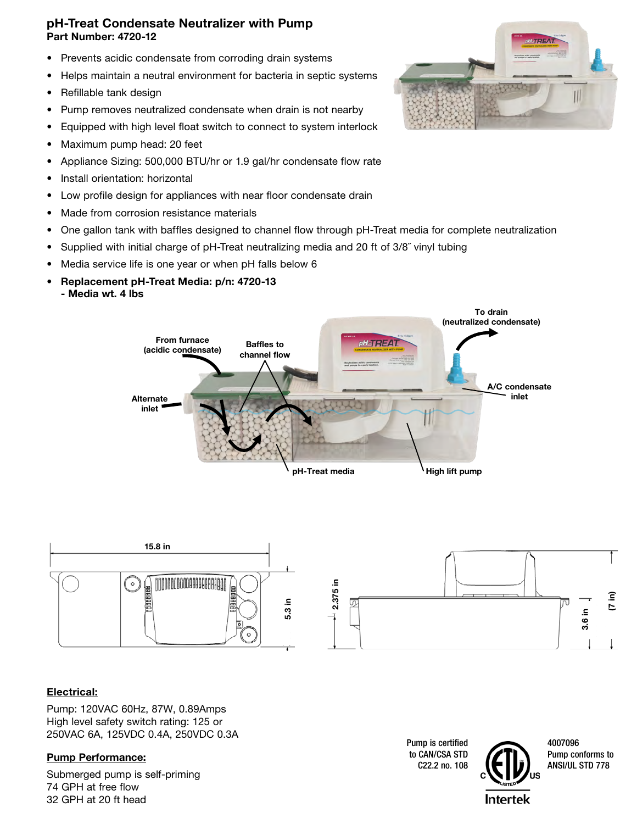#### pH-Treat Condensate Neutralizer with Pump Part Number: 4720-12

- Prevents acidic condensate from corroding drain systems
- Helps maintain a neutral environment for bacteria in septic systems
- Refillable tank design
- Pump removes neutralized condensate when drain is not nearby
- Equipped with high level float switch to connect to system interlock
- Maximum pump head: 20 feet
- Appliance Sizing: 500,000 BTU/hr or 1.9 gal/hr condensate flow rate
- Install orientation: horizontal
- Low profile design for appliances with near floor condensate drain
- Made from corrosion resistance materials
- One gallon tank with baffles designed to channel flow through pH-Treat media for complete neutralization
- Supplied with initial charge of pH-Treat neutralizing media and 20 ft of 3/8<sup>"</sup> vinyl tubing
- Media service life is one year or when pH falls below 6
- Replacement pH-Treat Media: p/n: 4720-13
	- Media wt. 4 lbs





#### Electrical:

Pump: 120VAC 60Hz, 87W, 0.89Amps High level safety switch rating: 125 or 250VAC 6A, 125VDC 0.4A, 250VDC 0.3A

Submerged pump is self-priming 74 GPH at free flow 32 GPH at 20 ft head

Pump is certified to CAN/CSA STD C22.2 no. 108



4007096 Pump conforms to<br>ANSI/UL STD 778